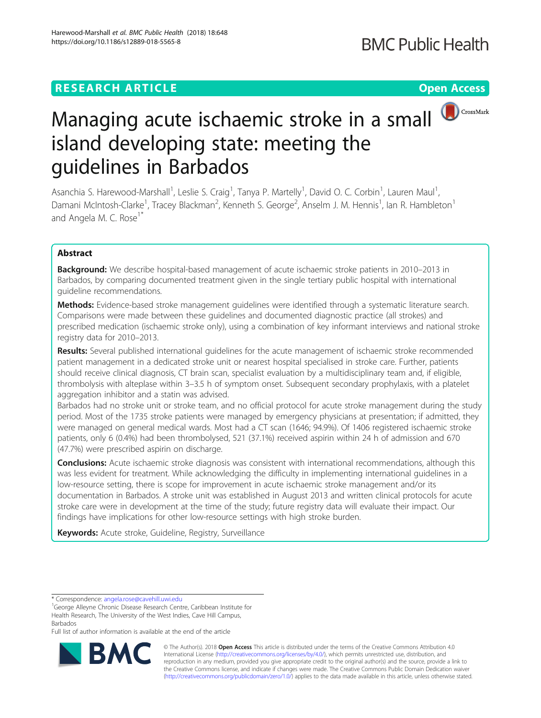## **RESEARCH ARTICLE Example 2018 12:30 THE Open Access**



# Managing acute ischaemic stroke in a small **D**CrossMark island developing state: meeting the guidelines in Barbados

Asanchia S. Harewood-Marshall<sup>1</sup>, Leslie S. Craig<sup>1</sup>, Tanya P. Martelly<sup>1</sup>, David O. C. Corbin<sup>1</sup>, Lauren Maul<sup>1</sup> , Damani McIntosh-Clarke<sup>1</sup>, Tracey Blackman<sup>2</sup>, Kenneth S. George<sup>2</sup>, Anselm J. M. Hennis<sup>1</sup>, Ian R. Hambleton<sup>1</sup> and Angela M. C. Rose<sup>1</sup>

## Abstract

**Background:** We describe hospital-based management of acute ischaemic stroke patients in 2010–2013 in Barbados, by comparing documented treatment given in the single tertiary public hospital with international guideline recommendations.

Methods: Evidence-based stroke management quidelines were identified through a systematic literature search. Comparisons were made between these guidelines and documented diagnostic practice (all strokes) and prescribed medication (ischaemic stroke only), using a combination of key informant interviews and national stroke registry data for 2010–2013.

Results: Several published international quidelines for the acute management of ischaemic stroke recommended patient management in a dedicated stroke unit or nearest hospital specialised in stroke care. Further, patients should receive clinical diagnosis, CT brain scan, specialist evaluation by a multidisciplinary team and, if eligible, thrombolysis with alteplase within 3–3.5 h of symptom onset. Subsequent secondary prophylaxis, with a platelet aggregation inhibitor and a statin was advised.

Barbados had no stroke unit or stroke team, and no official protocol for acute stroke management during the study period. Most of the 1735 stroke patients were managed by emergency physicians at presentation; if admitted, they were managed on general medical wards. Most had a CT scan (1646; 94.9%). Of 1406 registered ischaemic stroke patients, only 6 (0.4%) had been thrombolysed, 521 (37.1%) received aspirin within 24 h of admission and 670 (47.7%) were prescribed aspirin on discharge.

**Conclusions:** Acute ischaemic stroke diagnosis was consistent with international recommendations, although this was less evident for treatment. While acknowledging the difficulty in implementing international guidelines in a low-resource setting, there is scope for improvement in acute ischaemic stroke management and/or its documentation in Barbados. A stroke unit was established in August 2013 and written clinical protocols for acute stroke care were in development at the time of the study; future registry data will evaluate their impact. Our findings have implications for other low-resource settings with high stroke burden.

Keywords: Acute stroke, Guideline, Registry, Surveillance

Full list of author information is available at the end of the article



© The Author(s). 2018 Open Access This article is distributed under the terms of the Creative Commons Attribution 4.0 International License [\(http://creativecommons.org/licenses/by/4.0/](http://creativecommons.org/licenses/by/4.0/)), which permits unrestricted use, distribution, and reproduction in any medium, provided you give appropriate credit to the original author(s) and the source, provide a link to the Creative Commons license, and indicate if changes were made. The Creative Commons Public Domain Dedication waiver [\(http://creativecommons.org/publicdomain/zero/1.0/](http://creativecommons.org/publicdomain/zero/1.0/)) applies to the data made available in this article, unless otherwise stated.

<sup>\*</sup> Correspondence: [angela.rose@cavehill.uwi.edu](mailto:angela.rose@cavehill.uwi.edu) <sup>1</sup>

<sup>&</sup>lt;sup>1</sup>George Alleyne Chronic Disease Research Centre, Caribbean Institute for Health Research, The University of the West Indies, Cave Hill Campus, Barbados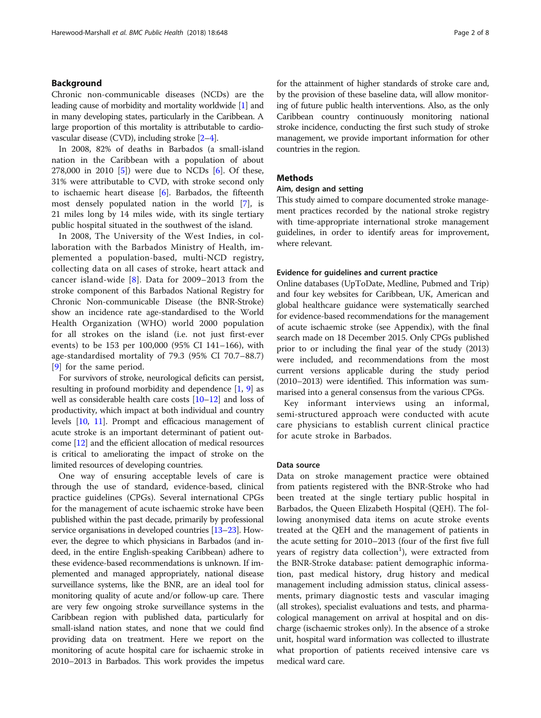## Background

Chronic non-communicable diseases (NCDs) are the leading cause of morbidity and mortality worldwide [\[1](#page-6-0)] and in many developing states, particularly in the Caribbean. A large proportion of this mortality is attributable to cardiovascular disease (CVD), including stroke [\[2](#page-6-0)–[4\]](#page-6-0).

In 2008, 82% of deaths in Barbados (a small-island nation in the Caribbean with a population of about 278,000 in 2010 [[5\]](#page-7-0)) were due to NCDs [\[6](#page-7-0)]. Of these, 31% were attributable to CVD, with stroke second only to ischaemic heart disease  $[6]$ . Barbados, the fifteenth most densely populated nation in the world [\[7](#page-7-0)], is 21 miles long by 14 miles wide, with its single tertiary public hospital situated in the southwest of the island.

In 2008, The University of the West Indies, in collaboration with the Barbados Ministry of Health, implemented a population-based, multi-NCD registry, collecting data on all cases of stroke, heart attack and cancer island-wide [[8](#page-7-0)]. Data for 2009–2013 from the stroke component of this Barbados National Registry for Chronic Non-communicable Disease (the BNR-Stroke) show an incidence rate age-standardised to the World Health Organization (WHO) world 2000 population for all strokes on the island (i.e. not just first-ever events) to be 153 per 100,000 (95% CI 141–166), with age-standardised mortality of 79.3 (95% CI 70.7–88.7) [[9\]](#page-7-0) for the same period.

For survivors of stroke, neurological deficits can persist, resulting in profound morbidity and dependence  $[1, 9]$  $[1, 9]$  $[1, 9]$  as well as considerable health care costs [[10](#page-7-0)–[12\]](#page-7-0) and loss of productivity, which impact at both individual and country levels [[10](#page-7-0), [11](#page-7-0)]. Prompt and efficacious management of acute stroke is an important determinant of patient outcome [\[12\]](#page-7-0) and the efficient allocation of medical resources is critical to ameliorating the impact of stroke on the limited resources of developing countries.

One way of ensuring acceptable levels of care is through the use of standard, evidence-based, clinical practice guidelines (CPGs). Several international CPGs for the management of acute ischaemic stroke have been published within the past decade, primarily by professional service organisations in developed countries [[13](#page-7-0)–[23](#page-7-0)]. However, the degree to which physicians in Barbados (and indeed, in the entire English-speaking Caribbean) adhere to these evidence-based recommendations is unknown. If implemented and managed appropriately, national disease surveillance systems, like the BNR, are an ideal tool for monitoring quality of acute and/or follow-up care. There are very few ongoing stroke surveillance systems in the Caribbean region with published data, particularly for small-island nation states, and none that we could find providing data on treatment. Here we report on the monitoring of acute hospital care for ischaemic stroke in 2010–2013 in Barbados. This work provides the impetus for the attainment of higher standards of stroke care and, by the provision of these baseline data, will allow monitoring of future public health interventions. Also, as the only Caribbean country continuously monitoring national stroke incidence, conducting the first such study of stroke management, we provide important information for other countries in the region.

#### **Methods**

#### Aim, design and setting

This study aimed to compare documented stroke management practices recorded by the national stroke registry with time-appropriate international stroke management guidelines, in order to identify areas for improvement, where relevant.

#### Evidence for guidelines and current practice

Online databases (UpToDate, Medline, Pubmed and Trip) and four key websites for Caribbean, UK, American and global healthcare guidance were systematically searched for evidence-based recommendations for the management of acute ischaemic stroke (see Appendix), with the final search made on 18 December 2015. Only CPGs published prior to or including the final year of the study (2013) were included, and recommendations from the most current versions applicable during the study period (2010–2013) were identified. This information was summarised into a general consensus from the various CPGs.

Key informant interviews using an informal, semi-structured approach were conducted with acute care physicians to establish current clinical practice for acute stroke in Barbados.

#### Data source

Data on stroke management practice were obtained from patients registered with the BNR-Stroke who had been treated at the single tertiary public hospital in Barbados, the Queen Elizabeth Hospital (QEH). The following anonymised data items on acute stroke events treated at the QEH and the management of patients in the acute setting for 2010–2013 (four of the first five full years of registry data collection<sup>1</sup>), were extracted from the BNR-Stroke database: patient demographic information, past medical history, drug history and medical management including admission status, clinical assessments, primary diagnostic tests and vascular imaging (all strokes), specialist evaluations and tests, and pharmacological management on arrival at hospital and on discharge (ischaemic strokes only). In the absence of a stroke unit, hospital ward information was collected to illustrate what proportion of patients received intensive care vs medical ward care.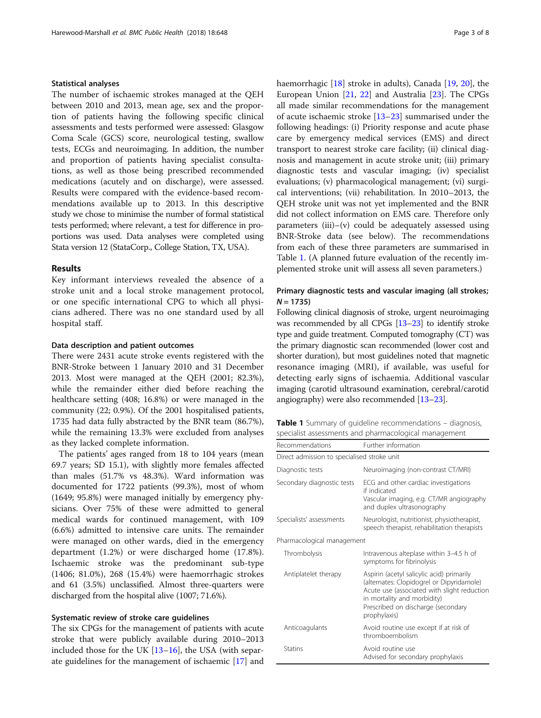#### Statistical analyses

The number of ischaemic strokes managed at the QEH between 2010 and 2013, mean age, sex and the proportion of patients having the following specific clinical assessments and tests performed were assessed: Glasgow Coma Scale (GCS) score, neurological testing, swallow tests, ECGs and neuroimaging. In addition, the number and proportion of patients having specialist consultations, as well as those being prescribed recommended medications (acutely and on discharge), were assessed. Results were compared with the evidence-based recommendations available up to 2013. In this descriptive study we chose to minimise the number of formal statistical tests performed; where relevant, a test for difference in proportions was used. Data analyses were completed using Stata version 12 (StataCorp., College Station, TX, USA).

#### Results

Key informant interviews revealed the absence of a stroke unit and a local stroke management protocol, or one specific international CPG to which all physicians adhered. There was no one standard used by all hospital staff.

#### Data description and patient outcomes

There were 2431 acute stroke events registered with the BNR-Stroke between 1 January 2010 and 31 December 2013. Most were managed at the QEH (2001; 82.3%), while the remainder either died before reaching the healthcare setting (408; 16.8%) or were managed in the community (22; 0.9%). Of the 2001 hospitalised patients, 1735 had data fully abstracted by the BNR team (86.7%), while the remaining 13.3% were excluded from analyses as they lacked complete information.

The patients' ages ranged from 18 to 104 years (mean 69.7 years; SD 15.1), with slightly more females affected than males (51.7% vs 48.3%). Ward information was documented for 1722 patients (99.3%), most of whom (1649; 95.8%) were managed initially by emergency physicians. Over 75% of these were admitted to general medical wards for continued management, with 109 (6.6%) admitted to intensive care units. The remainder were managed on other wards, died in the emergency department (1.2%) or were discharged home (17.8%). Ischaemic stroke was the predominant sub-type (1406; 81.0%), 268 (15.4%) were haemorrhagic strokes and 61 (3.5%) unclassified. Almost three-quarters were discharged from the hospital alive (1007; 71.6%).

### Systematic review of stroke care guidelines

The six CPGs for the management of patients with acute stroke that were publicly available during 2010–2013 included those for the UK [[13](#page-7-0)–[16](#page-7-0)], the USA (with separate guidelines for the management of ischaemic [\[17](#page-7-0)] and haemorrhagic [\[18](#page-7-0)] stroke in adults), Canada [\[19](#page-7-0), [20](#page-7-0)], the European Union [[21](#page-7-0), [22](#page-7-0)] and Australia [\[23](#page-7-0)]. The CPGs all made similar recommendations for the management of acute ischaemic stroke [\[13](#page-7-0)–[23](#page-7-0)] summarised under the following headings: (i) Priority response and acute phase care by emergency medical services (EMS) and direct transport to nearest stroke care facility; (ii) clinical diagnosis and management in acute stroke unit; (iii) primary diagnostic tests and vascular imaging; (iv) specialist evaluations; (v) pharmacological management; (vi) surgical interventions; (vii) rehabilitation. In 2010–2013, the QEH stroke unit was not yet implemented and the BNR did not collect information on EMS care. Therefore only parameters (iii)–(v) could be adequately assessed using BNR-Stroke data (see below). The recommendations from each of these three parameters are summarised in Table 1. (A planned future evaluation of the recently implemented stroke unit will assess all seven parameters.)

#### Primary diagnostic tests and vascular imaging (all strokes;  $N = 1735$

Following clinical diagnosis of stroke, urgent neuroimaging was recommended by all CPGs [\[13](#page-7-0)–[23](#page-7-0)] to identify stroke type and guide treatment. Computed tomography (CT) was the primary diagnostic scan recommended (lower cost and shorter duration), but most guidelines noted that magnetic resonance imaging (MRI), if available, was useful for detecting early signs of ischaemia. Additional vascular imaging (carotid ultrasound examination, cerebral/carotid angiography) were also recommended [[13](#page-7-0)–[23\]](#page-7-0).

**Table 1** Summary of quideline recommendations – diagnosis, specialist assessments and pharmacological management

| Recommendations                             | Further information                                                                                                                                                                                                        |  |  |  |  |  |
|---------------------------------------------|----------------------------------------------------------------------------------------------------------------------------------------------------------------------------------------------------------------------------|--|--|--|--|--|
| Direct admission to specialised stroke unit |                                                                                                                                                                                                                            |  |  |  |  |  |
| Diagnostic tests                            | Neuroimaging (non-contrast CT/MRI)                                                                                                                                                                                         |  |  |  |  |  |
| Secondary diagnostic tests                  | ECG and other cardiac investigations<br>if indicated<br>Vascular imaging, e.g. CT/MR angiography<br>and duplex ultrasonography                                                                                             |  |  |  |  |  |
| Specialists' assessments                    | Neurologist, nutritionist, physiotherapist,<br>speech therapist, rehabilitation therapists                                                                                                                                 |  |  |  |  |  |
| Pharmacological management                  |                                                                                                                                                                                                                            |  |  |  |  |  |
| Thrombolysis                                | Intravenous alteplase within 3-4.5 h of<br>symptoms for fibrinolysis                                                                                                                                                       |  |  |  |  |  |
| Antiplatelet therapy                        | Aspirin (acetyl salicylic acid) primarily<br>(alternates: Clopidogrel or Dipyridamole)<br>Acute use (associated with slight reduction<br>in mortality and morbidity)<br>Prescribed on discharge (secondary<br>prophylaxis) |  |  |  |  |  |
| Anticoagulants                              | Avoid routine use except if at risk of<br>thromboembolism                                                                                                                                                                  |  |  |  |  |  |
| <b>Statins</b>                              | Avoid routine use<br>Advised for secondary prophylaxis                                                                                                                                                                     |  |  |  |  |  |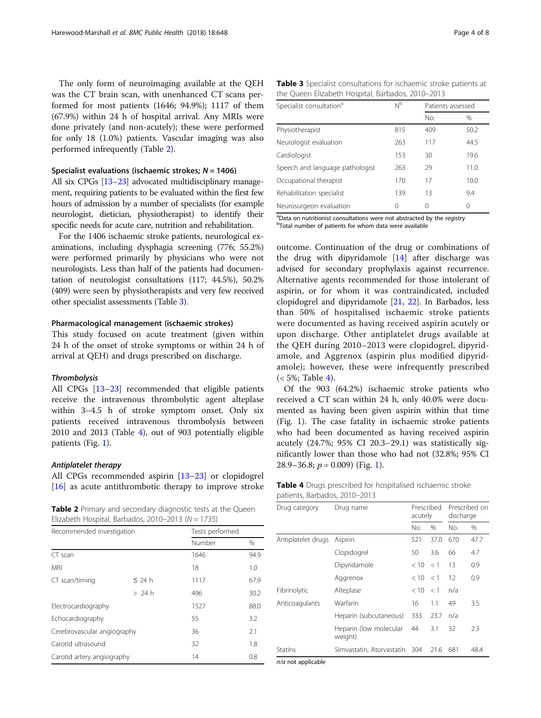<span id="page-3-0"></span>The only form of neuroimaging available at the QEH was the CT brain scan, with unenhanced CT scans performed for most patients (1646; 94.9%); 1117 of them (67.9%) within 24 h of hospital arrival. Any MRIs were done privately (and non-acutely); these were performed for only 18 (1.0%) patients. Vascular imaging was also performed infrequently (Table 2).

#### Specialist evaluations (ischaemic strokes;  $N = 1406$ )

All six CPGs [\[13](#page-7-0)–[23](#page-7-0)] advocated multidisciplinary management, requiring patients to be evaluated within the first few hours of admission by a number of specialists (for example neurologist, dietician, physiotherapist) to identify their specific needs for acute care, nutrition and rehabilitation.

For the 1406 ischaemic stroke patients, neurological examinations, including dysphagia screening (776; 55.2%) were performed primarily by physicians who were not neurologists. Less than half of the patients had documentation of neurologist consultations (117; 44.5%), 50.2% (409) were seen by physiotherapists and very few received other specialist assessments (Table 3).

#### Pharmacological management (ischaemic strokes)

This study focused on acute treatment (given within 24 h of the onset of stroke symptoms or within 24 h of arrival at QEH) and drugs prescribed on discharge.

All CPGs [\[13](#page-7-0)-[23](#page-7-0)] recommended that eligible patients receive the intravenous thrombolytic agent alteplase within 3–4.5 h of stroke symptom onset. Only six patients received intravenous thrombolysis between 2010 and 2013 (Table 4), out of 903 potentially eligible patients (Fig. [1](#page-4-0)).

All CPGs recommended aspirin [[13](#page-7-0)–[23](#page-7-0)] or clopidogrel [[16\]](#page-7-0) as acute antithrombotic therapy to improve stroke

Table 2 Primary and secondary diagnostic tests at the Queen Elizabeth Hospital, Barbados, 2010–2013 ( $N = 1735$ )

| Recommended investigation   |             | Tests performed |      |  |
|-----------------------------|-------------|-----------------|------|--|
|                             |             | Number          | $\%$ |  |
| $CT$ scan                   |             | 1646            | 94.9 |  |
| <b>MRI</b>                  |             | 18              | 1.0  |  |
| CT scan/timing              | $\leq$ 24 h | 1117            | 67.9 |  |
|                             | > 24 h      | 496             | 30.2 |  |
| Electrocardiography         |             | 1527            | 88.0 |  |
| Echocardiography            |             | 55              | 3.2  |  |
| Cerebrovascular angiography |             | 36              | 2.1  |  |
| Carotid ultrasound          |             | 32              | 1.8  |  |
| Carotid artery angiography  |             | 14              | 0.8  |  |

Table 3 Specialist consultations for ischaemic stroke patients at the Queen Elizabeth Hospital, Barbados, 2010–2013

| Specialist consultation <sup>a</sup> | $N^{\rm b}$ |     | Patients assessed |  |
|--------------------------------------|-------------|-----|-------------------|--|
|                                      |             | No. | $\%$              |  |
| Physiotherapist                      | 815         | 409 | 50.2              |  |
| Neurologist evaluation               | 263         | 117 | 44.5              |  |
| Cardiologist                         | 153         | 30  | 19.6              |  |
| Speech and language pathologist      | 263         | 29  | 11.0              |  |
| Occupational therapist               | 170         | 17  | 10.0              |  |
| Rehabilitation specialist            | 139         | 13  | 9.4               |  |
| Neurosurgeon evaluation              | 0           | 0   | 0                 |  |

<sup>a</sup>Data on nutritionist consultations were not abstracted by the registry <sup>b</sup>Total number of patients for whom data were available

outcome. Continuation of the drug or combinations of the drug with dipyridamole [\[14](#page-7-0)] after discharge was advised for secondary prophylaxis against recurrence. Alternative agents recommended for those intolerant of aspirin, or for whom it was contraindicated, included clopidogrel and dipyridamole [\[21](#page-7-0), [22\]](#page-7-0). In Barbados, less than 50% of hospitalised ischaemic stroke patients were documented as having received aspirin acutely or upon discharge. Other antiplatelet drugs available at the QEH during 2010–2013 were clopidogrel, dipyridamole, and Aggrenox (aspirin plus modified dipyridamole); however, these were infrequently prescribed  $(< 5\%;$  Table 4).

Of the 903 (64.2%) ischaemic stroke patients who received a CT scan within 24 h, only 40.0% were documented as having been given aspirin within that time (Fig. [1](#page-4-0)). The case fatality in ischaemic stroke patients who had been documented as having received aspirin acutely (24.7%; 95% CI 20.3–29.1) was statistically significantly lower than those who had not (32.8%; 95% CI 28.9–36.8;  $p = 0.009$  (Fig. [1\)](#page-4-0).

Table 4 Drugs prescribed for hospitalised ischaemic stroke patients, Barbados, 2010–2013

| Drug category      | Drug name                         | Prescribed<br>acutely |       | Prescribed on<br>discharge |      |
|--------------------|-----------------------------------|-----------------------|-------|----------------------------|------|
|                    |                                   | No.                   | $\%$  | No.                        | $\%$ |
| Antiplatelet drugs | Aspirin                           | 521                   | 37.0  | 670                        | 47.7 |
|                    | Clopidogrel                       | 50                    | 3.6   | 66                         | 4.7  |
|                    | Dipyridamole                      | < 10                  | $<$ 1 | 13                         | 0.9  |
|                    | Aggrenox                          | < 10                  | $<$ 1 | 12                         | 0.9  |
| Fibrinolytic       | Alteplase                         | < 10                  | $<$ 1 | n/a                        |      |
| Anticoagulants     | Warfarin                          | 16                    | 1.1   | 49                         | 3.5  |
|                    | Heparin (subcutaneous)            | 333                   | 23.7  | n/a                        |      |
|                    | Heparin (low molecular<br>weight) | 44                    | 3.1   | 32                         | 2.3  |
| <b>Statins</b>     | Simvastatin, Atorvastatin         | 304                   | 21.6  | 681                        | 48.4 |

n/a not applicable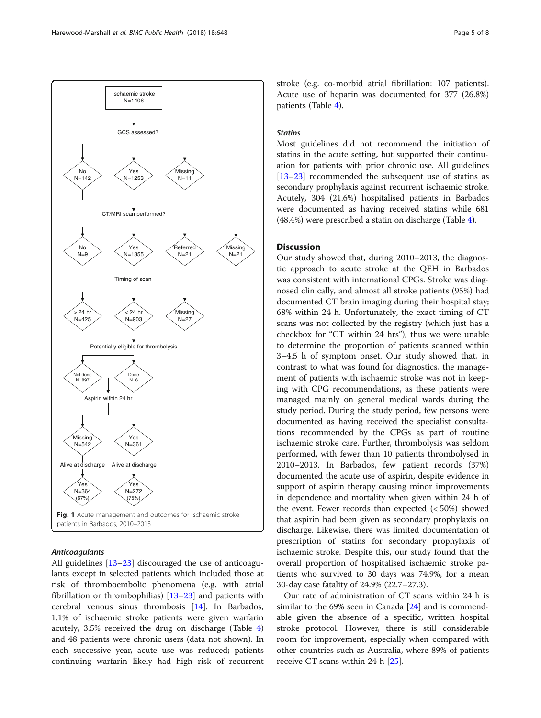<span id="page-4-0"></span>

All guidelines [\[13](#page-7-0)–[23\]](#page-7-0) discouraged the use of anticoagulants except in selected patients which included those at risk of thromboembolic phenomena (e.g. with atrial fibrillation or thrombophilias)  $[13-23]$  $[13-23]$  $[13-23]$  $[13-23]$  $[13-23]$  and patients with cerebral venous sinus thrombosis [[14\]](#page-7-0). In Barbados, 1.1% of ischaemic stroke patients were given warfarin acutely, 3.5% received the drug on discharge (Table [4](#page-3-0)) and 48 patients were chronic users (data not shown). In each successive year, acute use was reduced; patients continuing warfarin likely had high risk of recurrent stroke (e.g. co-morbid atrial fibrillation: 107 patients). Acute use of heparin was documented for 377 (26.8%) patients (Table [4](#page-3-0)).

### **Statins**

Most guidelines did not recommend the initiation of statins in the acute setting, but supported their continuation for patients with prior chronic use. All guidelines [[13](#page-7-0)–[23](#page-7-0)] recommended the subsequent use of statins as secondary prophylaxis against recurrent ischaemic stroke. Acutely, 304 (21.6%) hospitalised patients in Barbados were documented as having received statins while 681 (48.4%) were prescribed a statin on discharge (Table [4\)](#page-3-0).

#### **Discussion**

Our study showed that, during 2010–2013, the diagnostic approach to acute stroke at the QEH in Barbados was consistent with international CPGs. Stroke was diagnosed clinically, and almost all stroke patients (95%) had documented CT brain imaging during their hospital stay; 68% within 24 h. Unfortunately, the exact timing of CT scans was not collected by the registry (which just has a checkbox for "CT within 24 hrs"), thus we were unable to determine the proportion of patients scanned within 3–4.5 h of symptom onset. Our study showed that, in contrast to what was found for diagnostics, the management of patients with ischaemic stroke was not in keeping with CPG recommendations, as these patients were managed mainly on general medical wards during the study period. During the study period, few persons were documented as having received the specialist consultations recommended by the CPGs as part of routine ischaemic stroke care. Further, thrombolysis was seldom performed, with fewer than 10 patients thrombolysed in 2010–2013. In Barbados, few patient records (37%) documented the acute use of aspirin, despite evidence in support of aspirin therapy causing minor improvements in dependence and mortality when given within 24 h of the event. Fewer records than expected (< 50%) showed that aspirin had been given as secondary prophylaxis on discharge. Likewise, there was limited documentation of prescription of statins for secondary prophylaxis of ischaemic stroke. Despite this, our study found that the overall proportion of hospitalised ischaemic stroke patients who survived to 30 days was 74.9%, for a mean 30-day case fatality of 24.9% (22.7–27.3).

Our rate of administration of CT scans within 24 h is similar to the 69% seen in Canada  $[24]$  $[24]$  and is commendable given the absence of a specific, written hospital stroke protocol. However, there is still considerable room for improvement, especially when compared with other countries such as Australia, where 89% of patients receive CT scans within 24 h [\[25](#page-7-0)].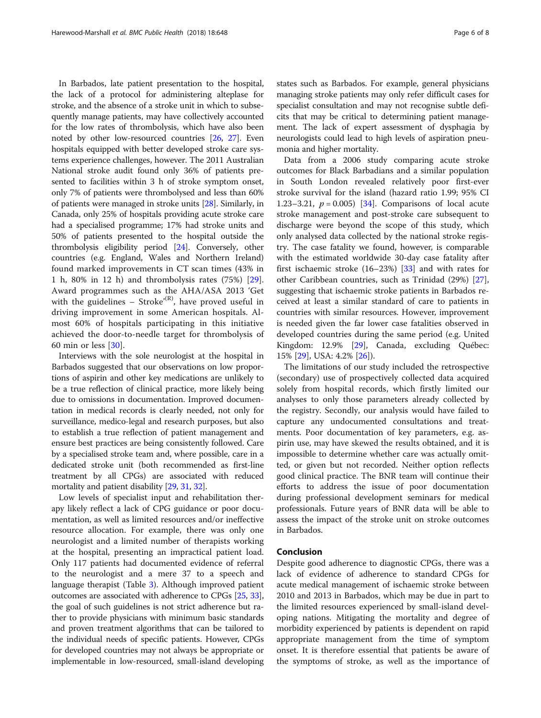In Barbados, late patient presentation to the hospital, the lack of a protocol for administering alteplase for stroke, and the absence of a stroke unit in which to subsequently manage patients, may have collectively accounted for the low rates of thrombolysis, which have also been noted by other low-resourced countries [\[26,](#page-7-0) [27\]](#page-7-0). Even hospitals equipped with better developed stroke care systems experience challenges, however. The 2011 Australian National stroke audit found only 36% of patients presented to facilities within 3 h of stroke symptom onset, only 7% of patients were thrombolysed and less than 60% of patients were managed in stroke units [\[28\]](#page-7-0). Similarly, in Canada, only 25% of hospitals providing acute stroke care had a specialised programme; 17% had stroke units and 50% of patients presented to the hospital outside the thrombolysis eligibility period [\[24\]](#page-7-0). Conversely, other countries (e.g. England, Wales and Northern Ireland) found marked improvements in CT scan times (43% in 1 h, 80% in 12 h) and thrombolysis rates (75%) [\[29](#page-7-0)]. Award programmes such as the AHA/ASA 2013 'Get with the guidelines – Stroke'<sup>(R)</sup>, have proved useful in driving improvement in some American hospitals. Almost 60% of hospitals participating in this initiative achieved the door-to-needle target for thrombolysis of 60 min or less [[30\]](#page-7-0).

Interviews with the sole neurologist at the hospital in Barbados suggested that our observations on low proportions of aspirin and other key medications are unlikely to be a true reflection of clinical practice, more likely being due to omissions in documentation. Improved documentation in medical records is clearly needed, not only for surveillance, medico-legal and research purposes, but also to establish a true reflection of patient management and ensure best practices are being consistently followed. Care by a specialised stroke team and, where possible, care in a dedicated stroke unit (both recommended as first-line treatment by all CPGs) are associated with reduced mortality and patient disability [[29](#page-7-0), [31,](#page-7-0) [32\]](#page-7-0).

Low levels of specialist input and rehabilitation therapy likely reflect a lack of CPG guidance or poor documentation, as well as limited resources and/or ineffective resource allocation. For example, there was only one neurologist and a limited number of therapists working at the hospital, presenting an impractical patient load. Only 117 patients had documented evidence of referral to the neurologist and a mere 37 to a speech and language therapist (Table [3](#page-3-0)). Although improved patient outcomes are associated with adherence to CPGs [\[25,](#page-7-0) [33](#page-7-0)], the goal of such guidelines is not strict adherence but rather to provide physicians with minimum basic standards and proven treatment algorithms that can be tailored to the individual needs of specific patients. However, CPGs for developed countries may not always be appropriate or implementable in low-resourced, small-island developing states such as Barbados. For example, general physicians managing stroke patients may only refer difficult cases for specialist consultation and may not recognise subtle deficits that may be critical to determining patient management. The lack of expert assessment of dysphagia by neurologists could lead to high levels of aspiration pneumonia and higher mortality.

Data from a 2006 study comparing acute stroke outcomes for Black Barbadians and a similar population in South London revealed relatively poor first-ever stroke survival for the island (hazard ratio 1.99; 95% CI 1.23–3.21,  $p = 0.005$  [[34\]](#page-7-0). Comparisons of local acute stroke management and post-stroke care subsequent to discharge were beyond the scope of this study, which only analysed data collected by the national stroke registry. The case fatality we found, however, is comparable with the estimated worldwide 30-day case fatality after first ischaemic stroke (16–23%) [[33](#page-7-0)] and with rates for other Caribbean countries, such as Trinidad (29%) [\[27](#page-7-0)], suggesting that ischaemic stroke patients in Barbados received at least a similar standard of care to patients in countries with similar resources. However, improvement is needed given the far lower case fatalities observed in developed countries during the same period (e.g. United Kingdom: 12.9% [\[29\]](#page-7-0), Canada, excluding Québec: 15% [[29](#page-7-0)], USA: 4.2% [[26\]](#page-7-0)).

The limitations of our study included the retrospective (secondary) use of prospectively collected data acquired solely from hospital records, which firstly limited our analyses to only those parameters already collected by the registry. Secondly, our analysis would have failed to capture any undocumented consultations and treatments. Poor documentation of key parameters, e.g. aspirin use, may have skewed the results obtained, and it is impossible to determine whether care was actually omitted, or given but not recorded. Neither option reflects good clinical practice. The BNR team will continue their efforts to address the issue of poor documentation during professional development seminars for medical professionals. Future years of BNR data will be able to assess the impact of the stroke unit on stroke outcomes in Barbados.

#### Conclusion

Despite good adherence to diagnostic CPGs, there was a lack of evidence of adherence to standard CPGs for acute medical management of ischaemic stroke between 2010 and 2013 in Barbados, which may be due in part to the limited resources experienced by small-island developing nations. Mitigating the mortality and degree of morbidity experienced by patients is dependent on rapid appropriate management from the time of symptom onset. It is therefore essential that patients be aware of the symptoms of stroke, as well as the importance of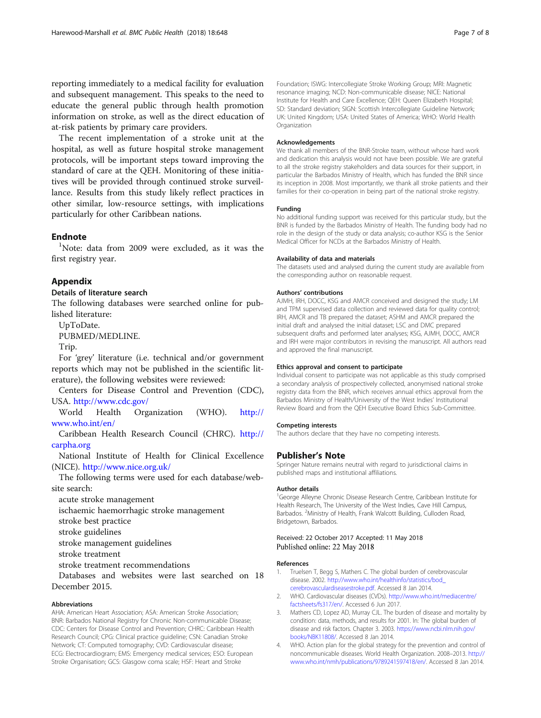<span id="page-6-0"></span>reporting immediately to a medical facility for evaluation and subsequent management. This speaks to the need to educate the general public through health promotion information on stroke, as well as the direct education of at-risk patients by primary care providers.

The recent implementation of a stroke unit at the hospital, as well as future hospital stroke management protocols, will be important steps toward improving the standard of care at the QEH. Monitoring of these initiatives will be provided through continued stroke surveillance. Results from this study likely reflect practices in other similar, low-resource settings, with implications particularly for other Caribbean nations.

### **Endnote**

<sup>1</sup>Note: data from 2009 were excluded, as it was the first registry year.

#### Appendix

#### Details of literature search

The following databases were searched online for published literature:

UpToDate.

PUBMED/MEDLINE.

Trip.

For 'grey' literature (i.e. technical and/or government reports which may not be published in the scientific literature), the following websites were reviewed:

Centers for Disease Control and Prevention (CDC), USA. <http://www.cdc.gov/>

World Health Organization (WHO). [http://](http://www.who.int/en/) [www.who.int/en/](http://www.who.int/en/)

Caribbean Health Research Council (CHRC). [http://](http://carpha.org) [carpha.org](http://carpha.org)

National Institute of Health for Clinical Excellence (NICE). <http://www.nice.org.uk/>

The following terms were used for each database/website search:

acute stroke management

ischaemic haemorrhagic stroke management

stroke best practice

stroke guidelines

stroke management guidelines

stroke treatment

stroke treatment recommendations

Databases and websites were last searched on 18 December 2015.

#### Abbreviations

AHA: American Heart Association; ASA: American Stroke Association; BNR: Barbados National Registry for Chronic Non-communicable Disease; CDC: Centers for Disease Control and Prevention; CHRC: Caribbean Health Research Council; CPG: Clinical practice guideline; CSN: Canadian Stroke Network; CT: Computed tomography; CVD: Cardiovascular disease; ECG: Electrocardiogram; EMS: Emergency medical services; ESO: European Stroke Organisation; GCS: Glasgow coma scale; HSF: Heart and Stroke

Foundation; ISWG: Intercollegiate Stroke Working Group; MRI: Magnetic resonance imaging; NCD: Non-communicable disease; NICE: National Institute for Health and Care Excellence; QEH: Queen Elizabeth Hospital; SD: Standard deviation; SIGN: Scottish Intercollegiate Guideline Network; UK: United Kingdom; USA: United States of America; WHO: World Health **Organization** 

#### Acknowledgements

We thank all members of the BNR-Stroke team, without whose hard work and dedication this analysis would not have been possible. We are grateful to all the stroke registry stakeholders and data sources for their support, in particular the Barbados Ministry of Health, which has funded the BNR since its inception in 2008. Most importantly, we thank all stroke patients and their families for their co-operation in being part of the national stroke registry.

#### Funding

No additional funding support was received for this particular study, but the BNR is funded by the Barbados Ministry of Health. The funding body had no role in the design of the study or data analysis; co-author KSG is the Senior Medical Officer for NCDs at the Barbados Ministry of Health.

#### Availability of data and materials

The datasets used and analysed during the current study are available from the corresponding author on reasonable request.

#### Authors' contributions

AJMH, IRH, DOCC, KSG and AMCR conceived and designed the study; LM and TPM supervised data collection and reviewed data for quality control; IRH, AMCR and TB prepared the dataset; ASHM and AMCR prepared the initial draft and analysed the initial dataset; LSC and DMC prepared subsequent drafts and performed later analyses; KSG, AJMH, DOCC, AMCR and IRH were major contributors in revising the manuscript. All authors read and approved the final manuscript.

#### Ethics approval and consent to participate

Individual consent to participate was not applicable as this study comprised a secondary analysis of prospectively collected, anonymised national stroke registry data from the BNR, which receives annual ethics approval from the Barbados Ministry of Health/University of the West Indies' Institutional Review Board and from the QEH Executive Board Ethics Sub-Committee.

#### Competing interests

The authors declare that they have no competing interests.

#### Publisher's Note

Springer Nature remains neutral with regard to jurisdictional claims in published maps and institutional affiliations.

#### Author details

<sup>1</sup>George Alleyne Chronic Disease Research Centre, Caribbean Institute for Health Research, The University of the West Indies, Cave Hill Campus, Barbados. <sup>2</sup> Ministry of Health, Frank Walcott Building, Culloden Road, Bridgetown, Barbados.

#### Received: 22 October 2017 Accepted: 11 May 2018 Published online: 22 May 2018

#### References

- Truelsen T, Begg S, Mathers C. The global burden of cerebrovascular disease. 2002. [http://www.who.int/healthinfo/statistics/bod\\_](http://www.who.int/healthinfo/statistics/bod_cerebrovasculardiseasestroke.pdf) [cerebrovasculardiseasestroke.pdf](http://www.who.int/healthinfo/statistics/bod_cerebrovasculardiseasestroke.pdf). Accessed 8 Jan 2014.
- 2. WHO. Cardiovascular diseases (CVDs). [http://www.who.int/mediacentre/](http://www.who.int/mediacentre/factsheets/fs317/en/) [factsheets/fs317/en/](http://www.who.int/mediacentre/factsheets/fs317/en/). Accessed 6 Jun 2017.
- 3. Mathers CD, Lopez AD, Murray CJL. The burden of disease and mortality by condition: data, methods, and results for 2001. In: The global burden of disease and risk factors. Chapter 3. 2003. [https://www.ncbi.nlm.nih.gov/](https://www.ncbi.nlm.nih.gov/books/NBK11808/) [books/NBK11808/](https://www.ncbi.nlm.nih.gov/books/NBK11808/). Accessed 8 Jan 2014.
- 4. WHO. Action plan for the global strategy for the prevention and control of noncommunicable diseases. World Health Organization. 2008–2013. [http://](http://www.who.int/nmh/publications/9789241597418/en/) [www.who.int/nmh/publications/9789241597418/en/](http://www.who.int/nmh/publications/9789241597418/en/). Accessed 8 Jan 2014.